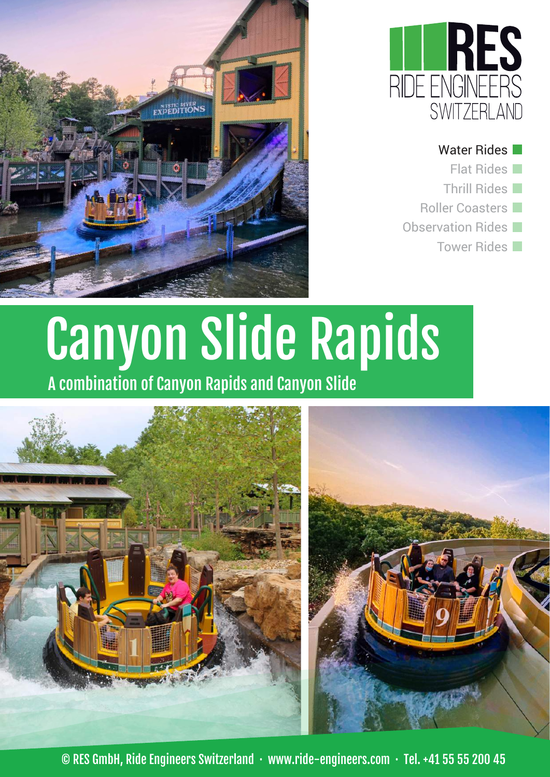

Water Rides Flat Rides Thrill Rides Roller Coasters Observation Rides Tower Rides



# Canyon Slide Rapids

A combination of Canyon Rapids and Canyon Slide